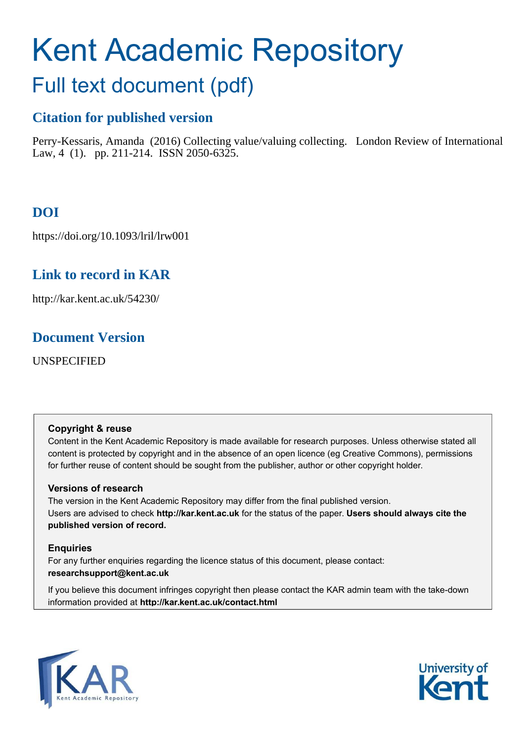# Kent Academic Repository

# Full text document (pdf)

# **Citation for published version**

Perry-Kessaris, Amanda (2016) Collecting value/valuing collecting. London Review of International Law, 4 (1). pp. 211-214. ISSN 2050-6325.

# **DOI**

https://doi.org/10.1093/lril/lrw001

## **Link to record in KAR**

http://kar.kent.ac.uk/54230/

### **Document Version**

UNSPECIFIED

#### **Copyright & reuse**

Content in the Kent Academic Repository is made available for research purposes. Unless otherwise stated all content is protected by copyright and in the absence of an open licence (eg Creative Commons), permissions for further reuse of content should be sought from the publisher, author or other copyright holder.

#### **Versions of research**

The version in the Kent Academic Repository may differ from the final published version. Users are advised to check **http://kar.kent.ac.uk** for the status of the paper. **Users should always cite the published version of record.**

#### **Enquiries**

For any further enquiries regarding the licence status of this document, please contact: **researchsupport@kent.ac.uk**

If you believe this document infringes copyright then please contact the KAR admin team with the take-down information provided at **http://kar.kent.ac.uk/contact.html**



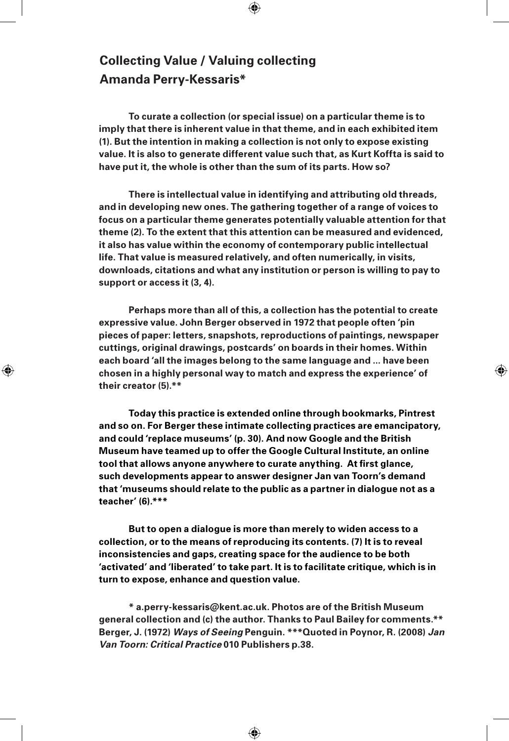#### **Collecting Value / Valuing collecting Amanda Perry-Kessaris\***

⊕

**To curate a collection (or special issue) on a particular theme is to imply that there is inherent value in that theme, and in each exhibited item (1). But the intention in making a collection is not only to expose existing value. It is also to generate different value such that, as Kurt Koffta is said to have put it, the whole is other than the sum of its parts. How so?** 

 $\bigoplus$ 

**There is intellectual value in identifying and attributing old threads, and in developing new ones. The gathering together of a range of voices to focus on a particular theme generates potentially valuable attention for that theme (2). To the extent that this attention can be measured and evidenced, it also has value within the economy of contemporary public intellectual life. That value is measured relatively, and often numerically, in visits, downloads, citations and what any institution or person is willing to pay to support or access it (3, 4).**

**Perhaps more than all of this, a collection has the potential to create expressive value. John Berger observed in 1972 that people often 'pin pieces of paper: letters, snapshots, reproductions of paintings, newspaper cuttings, original drawings, postcards' on boards in their homes. Within each board 'all the images belong to the same language and ... have been chosen in a highly personal way to match and express the experience' of their creator (5).\*\*** 

⊕

**Today this practice is extended online through bookmarks, Pintrest and so on. For Berger these intimate collecting practices are emancipatory, and could 'replace museums' (p. 30). And now Google and the British Museum have teamed up to offer the Google Cultural Institute, an online tool that allows anyone anywhere to curate anything. At first glance, such developments appear to answer designer Jan van Toorn's demand that 'museums should relate to the public as a partner in dialogue not as a teacher' (6).\*\*\*** 

**But to open a dialogue is more than merely to widen access to a collection, or to the means of reproducing its contents. (7) It is to reveal inconsistencies and gaps, creating space for the audience to be both 'activated' and 'liberated' to take part. It is to facilitate critique, which is in turn to expose, enhance and question value.**

**\* a.perry-kessaris@kent.ac.uk. Photos are of the British Museum general collection and (c) the author. Thanks to Paul Bailey for comments.\*\* Berger, J. (1972) Ways of Seeing Penguin. \*\*\*Quoted in Poynor, R. (2008) Jan Van Toorn: Critical Practice 010 Publishers p.38.** 

⊕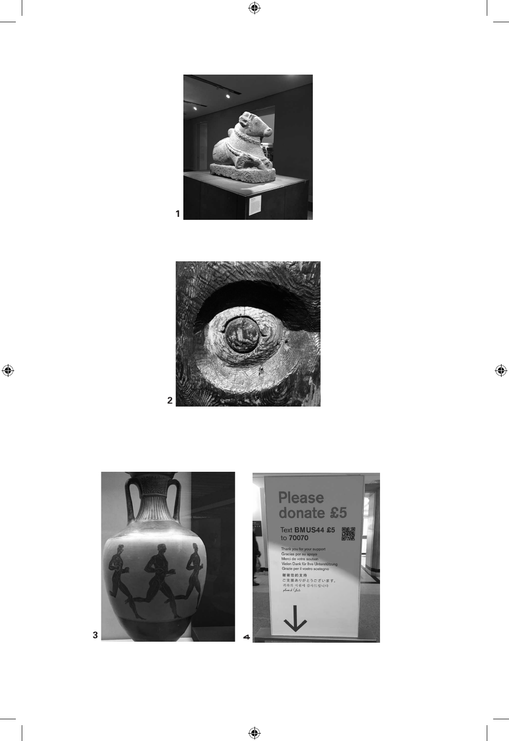

 $\bigoplus$ 



 $\bigoplus$ 

 $\bigoplus$ 



 $\bigoplus$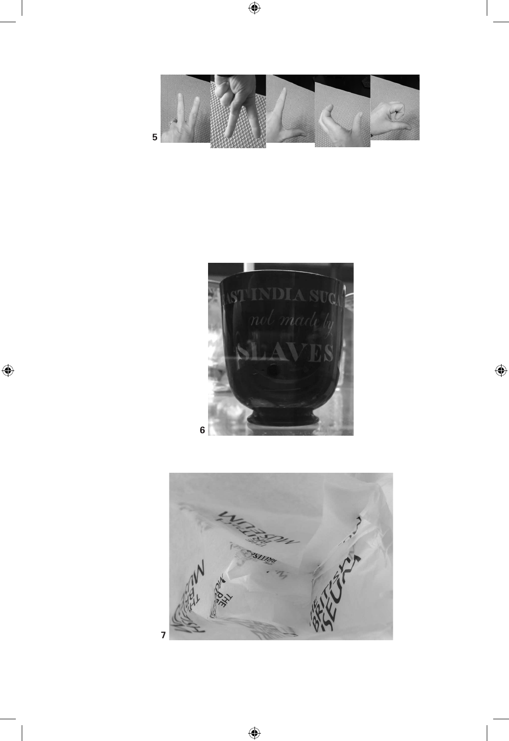

 $\bigoplus$ 



 $\bigoplus$ 

 $\bigoplus$ 



 $\bigoplus$